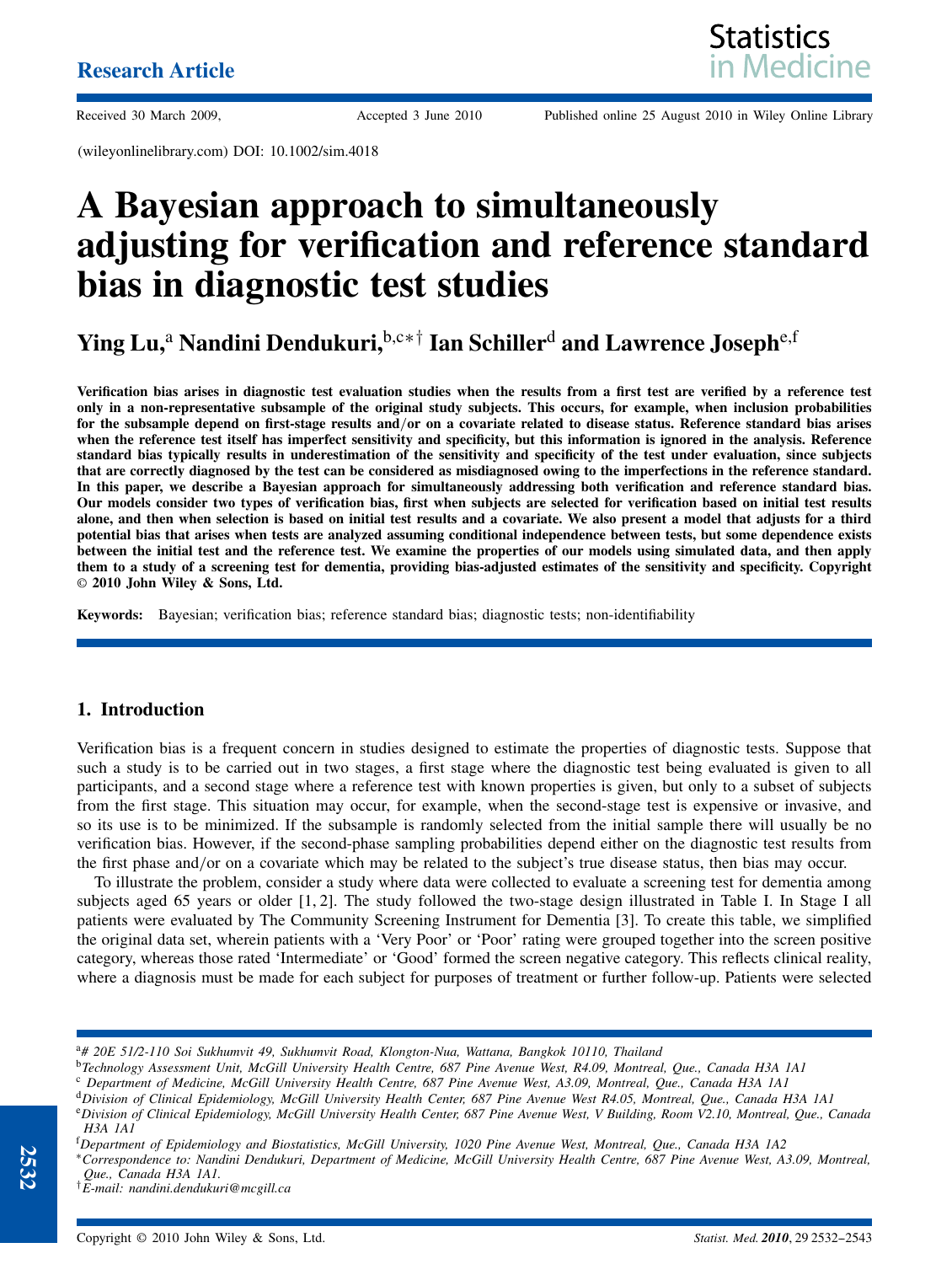(wileyonlinelibrary.com) DOI: 10.1002/sim.4018

Received 30 March 2009, **Accepted 3 June 2010** Published online 25 August 2010 in Wiley Online Library

# **A Bayesian approach to simultaneously adjusting for verification and reference standard bias in diagnostic test studies**

**Ying Lu,**<sup>a</sup> **Nandini Dendukuri,**b,c∗*†* **Ian Schiller**<sup>d</sup> **and Lawrence Joseph**e,f

**Verification bias arises in diagnostic test evaluation studies when the results from a first test are verified by a reference test only in a non-representative subsample of the original study subjects. This occurs, for example, when inclusion probabilities for the subsample depend on first-stage results and***/***or on a covariate related to disease status. Reference standard bias arises when the reference test itself has imperfect sensitivity and specificity, but this information is ignored in the analysis. Reference standard bias typically results in underestimation of the sensitivity and specificity of the test under evaluation, since subjects that are correctly diagnosed by the test can be considered as misdiagnosed owing to the imperfections in the reference standard. In this paper, we describe a Bayesian approach for simultaneously addressing both verification and reference standard bias. Our models consider two types of verification bias, first when subjects are selected for verification based on initial test results alone, and then when selection is based on initial test results and a covariate. We also present a model that adjusts for a third potential bias that arises when tests are analyzed assuming conditional independence between tests, but some dependence exists between the initial test and the reference test. We examine the properties of our models using simulated data, and then apply them to a study of a screening test for dementia, providing bias-adjusted estimates of the sensitivity and specificity. Copyright** *©* **2010 John Wiley & Sons, Ltd.**

**Keywords:** Bayesian; verification bias; reference standard bias; diagnostic tests; non-identifiability

## **1. Introduction**

Verification bias is a frequent concern in studies designed to estimate the properties of diagnostic tests. Suppose that such a study is to be carried out in two stages, a first stage where the diagnostic test being evaluated is given to all participants, and a second stage where a reference test with known properties is given, but only to a subset of subjects from the first stage. This situation may occur, for example, when the second-stage test is expensive or invasive, and so its use is to be minimized. If the subsample is randomly selected from the initial sample there will usually be no verification bias. However, if the second-phase sampling probabilities depend either on the diagnostic test results from the first phase and*/*or on a covariate which may be related to the subject's true disease status, then bias may occur.

To illustrate the problem, consider a study where data were collected to evaluate a screening test for dementia among subjects aged 65 years or older [1, 2]. The study followed the two-stage design illustrated in Table I. In Stage I all patients were evaluated by The Community Screening Instrument for Dementia [3]. To create this table, we simplified the original data set, wherein patients with a 'Very Poor' or 'Poor' rating were grouped together into the screen positive category, whereas those rated 'Intermediate' or 'Good' formed the screen negative category. This reflects clinical reality, where a diagnosis must be made for each subject for purposes of treatment or further follow-up. Patients were selected

<sup>a</sup>*# 20E 51/2-110 Soi Sukhumvit 49, Sukhumvit Road, Klongton-Nua, Wattana, Bangkok 10110, Thailand*

<sup>b</sup>*Technology Assessment Unit, McGill University Health Centre, 687 Pine Avenue West, R4.09, Montreal, Que., Canada H3A 1A1*

<sup>c</sup> *Department of Medicine, McGill University Health Centre, 687 Pine Avenue West, A3.09, Montreal, Que., Canada H3A 1A1*

<sup>d</sup>*Division of Clinical Epidemiology, McGill University Health Center, 687 Pine Avenue West R4.05, Montreal, Que., Canada H3A 1A1* <sup>e</sup>*Division of Clinical Epidemiology, McGill University Health Center, 687 Pine Avenue West, V Building, Room V2.10, Montreal, Que., Canada*

*H3A 1A1*

f *Department of Epidemiology and Biostatistics, McGill University, 1020 Pine Avenue West, Montreal, Que., Canada H3A 1A2*

<sup>∗</sup>*Correspondence to: Nandini Dendukuri, Department of Medicine, McGill University Health Centre, 687 Pine Avenue West, A3.09, Montreal, Que., Canada H3A 1A1.*

*<sup>†</sup>E-mail: nandini.dendukuri@mcgill.ca*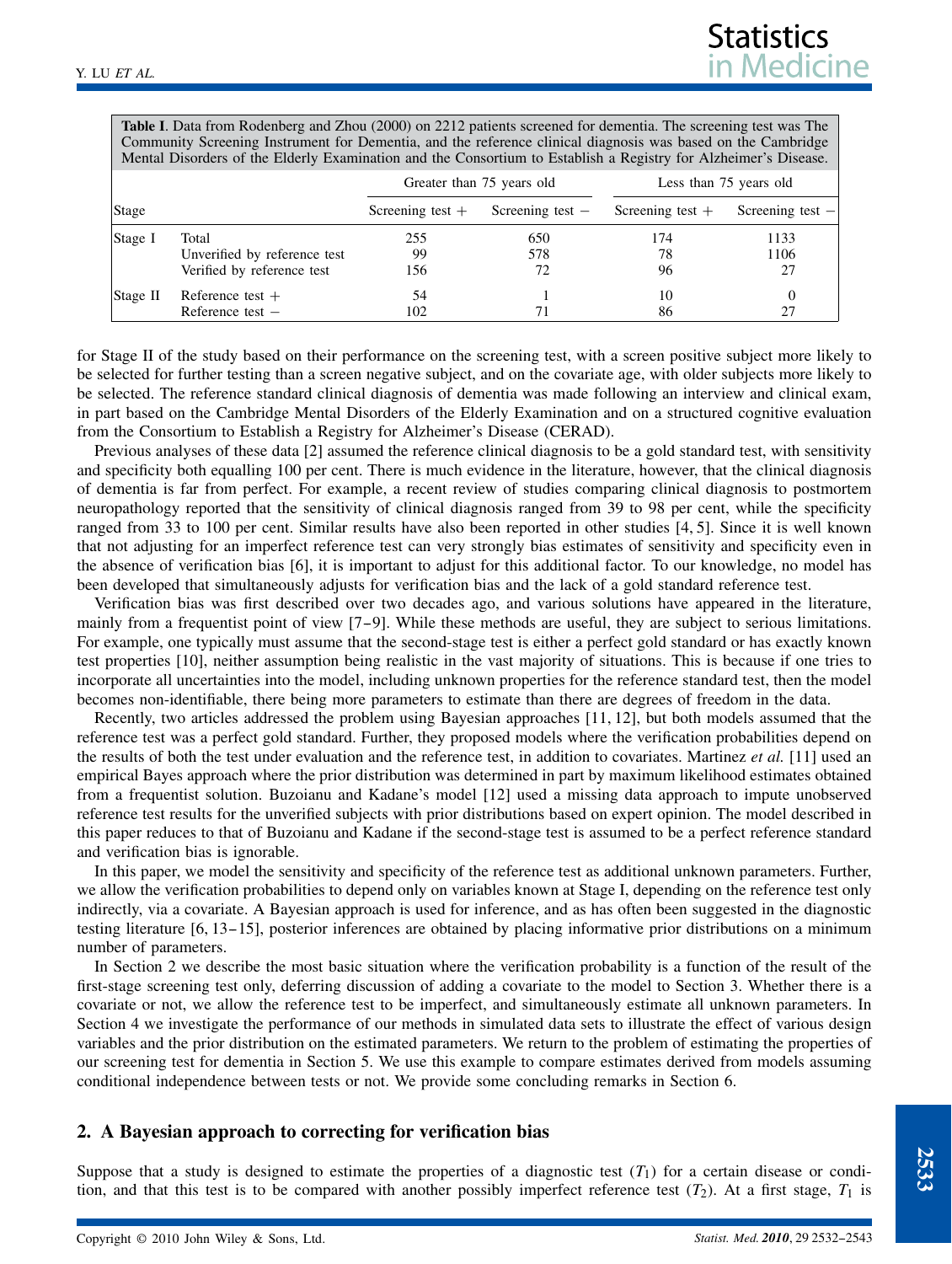**Table I**. Data from Rodenberg and Zhou (2000) on 2212 patients screened for dementia. The screening test was The Community Screening Instrument for Dementia, and the reference clinical diagnosis was based on the Cambridge Mental Disorders of the Elderly Examination and the Consortium to Establish a Registry for Alzheimer's Disease.

|          |                                                                     |                    | Greater than 75 years old | Less than 75 years old |                    |  |
|----------|---------------------------------------------------------------------|--------------------|---------------------------|------------------------|--------------------|--|
| Stage    |                                                                     | Screening test $+$ | Screening test $-$        | Screening test $+$     | Screening test $-$ |  |
| Stage I  | Total<br>Unverified by reference test<br>Verified by reference test | 255<br>99<br>156   | 650<br>578<br>72          | 174<br>78<br>96        | 1133<br>1106<br>27 |  |
| Stage II | Reference test $+$<br>Reference test $-$                            | 54<br>102          |                           | 10<br>86               |                    |  |

for Stage II of the study based on their performance on the screening test, with a screen positive subject more likely to be selected for further testing than a screen negative subject, and on the covariate age, with older subjects more likely to be selected. The reference standard clinical diagnosis of dementia was made following an interview and clinical exam, in part based on the Cambridge Mental Disorders of the Elderly Examination and on a structured cognitive evaluation from the Consortium to Establish a Registry for Alzheimer's Disease (CERAD).

Previous analyses of these data [2] assumed the reference clinical diagnosis to be a gold standard test, with sensitivity and specificity both equalling 100 per cent. There is much evidence in the literature, however, that the clinical diagnosis of dementia is far from perfect. For example, a recent review of studies comparing clinical diagnosis to postmortem neuropathology reported that the sensitivity of clinical diagnosis ranged from 39 to 98 per cent, while the specificity ranged from 33 to 100 per cent. Similar results have also been reported in other studies [4, 5]. Since it is well known that not adjusting for an imperfect reference test can very strongly bias estimates of sensitivity and specificity even in the absence of verification bias [6], it is important to adjust for this additional factor. To our knowledge, no model has been developed that simultaneously adjusts for verification bias and the lack of a gold standard reference test.

Verification bias was first described over two decades ago, and various solutions have appeared in the literature, mainly from a frequentist point of view [7-9]. While these methods are useful, they are subject to serious limitations. For example, one typically must assume that the second-stage test is either a perfect gold standard or has exactly known test properties [10], neither assumption being realistic in the vast majority of situations. This is because if one tries to incorporate all uncertainties into the model, including unknown properties for the reference standard test, then the model becomes non-identifiable, there being more parameters to estimate than there are degrees of freedom in the data.

Recently, two articles addressed the problem using Bayesian approaches [11, 12], but both models assumed that the reference test was a perfect gold standard. Further, they proposed models where the verification probabilities depend on the results of both the test under evaluation and the reference test, in addition to covariates. Martinez *et al.* [11] used an empirical Bayes approach where the prior distribution was determined in part by maximum likelihood estimates obtained from a frequentist solution. Buzoianu and Kadane's model [12] used a missing data approach to impute unobserved reference test results for the unverified subjects with prior distributions based on expert opinion. The model described in this paper reduces to that of Buzoianu and Kadane if the second-stage test is assumed to be a perfect reference standard and verification bias is ignorable.

In this paper, we model the sensitivity and specificity of the reference test as additional unknown parameters. Further, we allow the verification probabilities to depend only on variables known at Stage I, depending on the reference test only indirectly, via a covariate. A Bayesian approach is used for inference, and as has often been suggested in the diagnostic testing literature [6, 13--15], posterior inferences are obtained by placing informative prior distributions on a minimum number of parameters.

In Section 2 we describe the most basic situation where the verification probability is a function of the result of the first-stage screening test only, deferring discussion of adding a covariate to the model to Section 3. Whether there is a covariate or not, we allow the reference test to be imperfect, and simultaneously estimate all unknown parameters. In Section 4 we investigate the performance of our methods in simulated data sets to illustrate the effect of various design variables and the prior distribution on the estimated parameters. We return to the problem of estimating the properties of our screening test for dementia in Section 5. We use this example to compare estimates derived from models assuming conditional independence between tests or not. We provide some concluding remarks in Section 6.

### **2. A Bayesian approach to correcting for verification bias**

Suppose that a study is designed to estimate the properties of a diagnostic test  $(T_1)$  for a certain disease or condition, and that this test is to be compared with another possibly imperfect reference test  $(T_2)$ . At a first stage,  $T_1$  is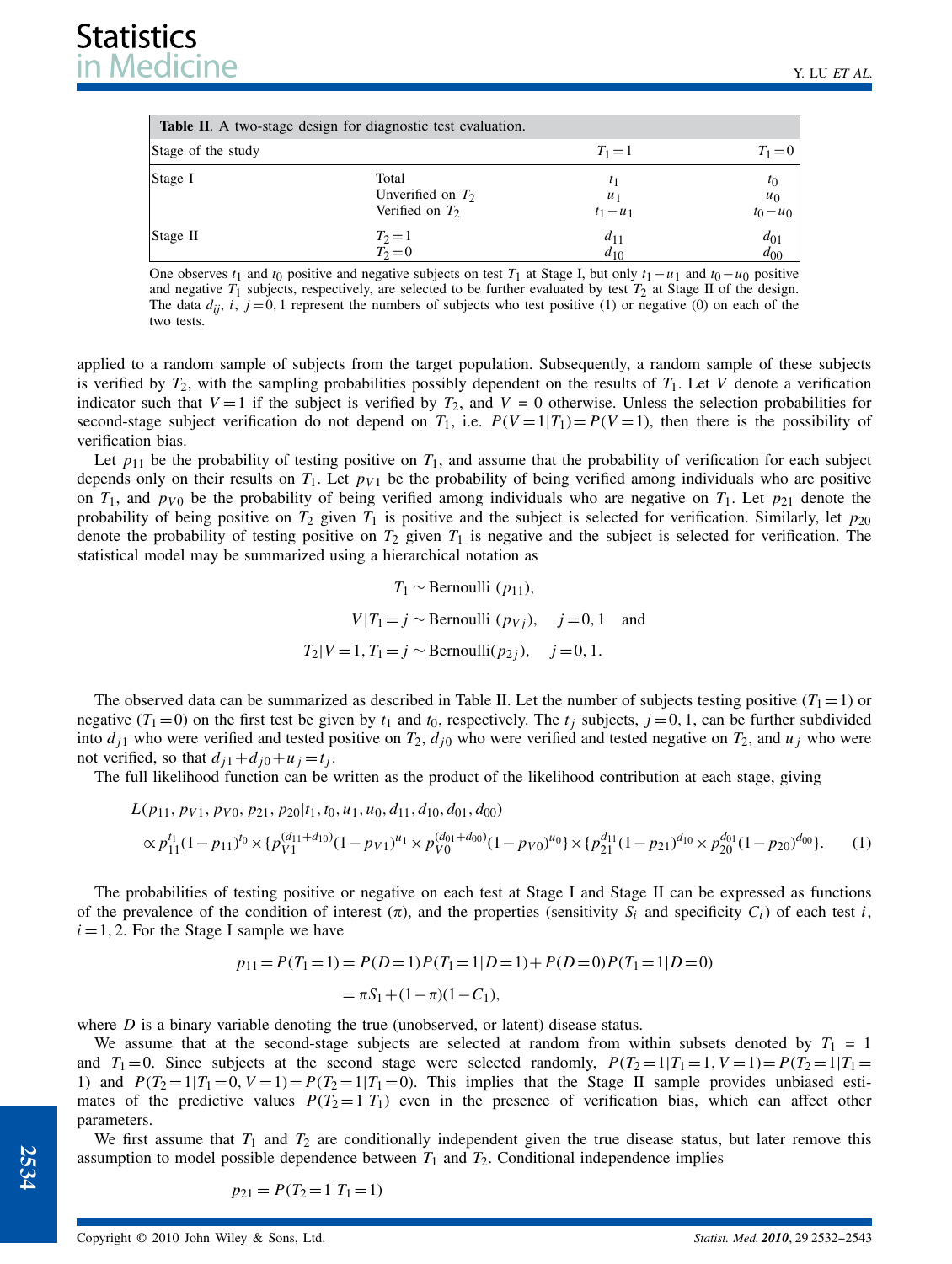|                    | <b>Table II.</b> A two-stage design for diagnostic test evaluation. |                                   |                                 |
|--------------------|---------------------------------------------------------------------|-----------------------------------|---------------------------------|
| Stage of the study |                                                                     | $T_1 = 1$                         | $T_1 = 0$                       |
| Stage I            | Total<br>Unverified on $T_2$<br>Verified on $T_2$                   | $\iota_1$<br>$u_1$<br>$t_1 - u_1$ | $t_{0}$<br>$u_0$<br>$t_0 - u_0$ |
| Stage II           | $T_2 = 1$<br>$T_2 = 0$                                              | $d_{11}$<br>$d_{10}$              | $d_{01}$<br>$d_{00}$            |

One observes  $t_1$  and  $t_0$  positive and negative subjects on test  $T_1$  at Stage I, but only  $t_1 - u_1$  and  $t_0 - u_0$  positive and negative  $T_1$  subjects, respectively, are selected to be further evaluated by test  $T_2$  at Stage II of the design. The data  $d_{ij}$ ,  $i$ ,  $j = 0, 1$  represent the numbers of subjects who test positive (1) or negative (0) on each of the two tests.

applied to a random sample of subjects from the target population. Subsequently, a random sample of these subjects is verified by  $T_2$ , with the sampling probabilities possibly dependent on the results of  $T_1$ . Let *V* denote a verification indicator such that  $V = 1$  if the subject is verified by  $T_2$ , and  $V = 0$  otherwise. Unless the selection probabilities for second-stage subject verification do not depend on  $T_1$ , i.e.  $P(V=1|T_1)=P(V=1)$ , then there is the possibility of verification bias.

Let  $p_{11}$  be the probability of testing positive on  $T_1$ , and assume that the probability of verification for each subject depends only on their results on  $T_1$ . Let  $p_{V1}$  be the probability of being verified among individuals who are positive on  $T_1$ , and  $p_{V0}$  be the probability of being verified among individuals who are negative on  $T_1$ . Let  $p_{21}$  denote the probability of being positive on  $T_2$  given  $T_1$  is positive and the subject is selected for verification. Similarly, let  $p_{20}$ denote the probability of testing positive on *T*<sup>2</sup> given *T*<sup>1</sup> is negative and the subject is selected for verification. The statistical model may be summarized using a hierarchical notation as

$$
T_1 \sim \text{Bernoulli } (p_{11}),
$$
  
\n $V|T_1 = j \sim \text{Bernoulli } (p_{Vj}), \quad j = 0, 1 \text{ and}$   
\n $T_2|V = 1, T_1 = j \sim \text{Bernoulli}(p_{2j}), \quad j = 0, 1.$ 

The observed data can be summarized as described in Table II. Let the number of subjects testing positive  $(T_1 = 1)$  or negative  $(T_1 = 0)$  on the first test be given by  $t_1$  and  $t_0$ , respectively. The  $t_j$  subjects,  $j = 0, 1$ , can be further subdivided into  $d_{j1}$  who were verified and tested positive on  $T_2$ ,  $d_{j0}$  who were verified and tested negative on  $T_2$ , and  $u_j$  who were not verified, so that  $d_{i1} + d_{i0} + u_i = t_i$ .

The full likelihood function can be written as the product of the likelihood contribution at each stage, giving

$$
L(p_{11}, p_{V1}, p_{V0}, p_{21}, p_{20}|t_1, t_0, u_1, u_0, d_{11}, d_{10}, d_{01}, d_{00})
$$
  
 
$$
\propto p_{11}^{t_1} (1 - p_{11})^{t_0} \times \{p_{V1}^{(d_{11} + d_{10})} (1 - p_{V1})^{u_1} \times p_{V0}^{(d_{01} + d_{00})} (1 - p_{V0})^{u_0}\} \times \{p_{21}^{d_{11}} (1 - p_{21})^{d_{10}} \times p_{20}^{d_{01}} (1 - p_{20})^{d_{00}}\}.
$$
 (1)

The probabilities of testing positive or negative on each test at Stage I and Stage II can be expressed as functions of the prevalence of the condition of interest  $(\pi)$ , and the properties (sensitivity  $S_i$  and specificity  $C_i$ ) of each test *i*,  $i = 1, 2$ . For the Stage I sample we have

$$
p_{11} = P(T_1 = 1) = P(D = 1)P(T_1 = 1|D = 1) + P(D = 0)P(T_1 = 1|D = 0)
$$
  
=  $\pi S_1 + (1 - \pi)(1 - C_1)$ ,

where *D* is a binary variable denoting the true (unobserved, or latent) disease status.

We assume that at the second-stage subjects are selected at random from within subsets denoted by  $T_1 = 1$ and  $T_1 = 0$ . Since subjects at the second stage were selected randomly,  $P(T_2=1|T_1=1, V=1) = P(T_2=1|T_1=1, V=1)$ 1) and  $P(T_2=1|T_1=0, V=1) = P(T_2=1|T_1=0)$ . This implies that the Stage II sample provides unbiased estimates of the predictive values  $P(T_2=1|T_1)$  even in the presence of verification bias, which can affect other parameters.

We first assume that  $T_1$  and  $T_2$  are conditionally independent given the true disease status, but later remove this assumption to model possible dependence between  $T_1$  and  $T_2$ . Conditional independence implies

$$
p_{21} = P(T_2 = 1 | T_1 = 1)
$$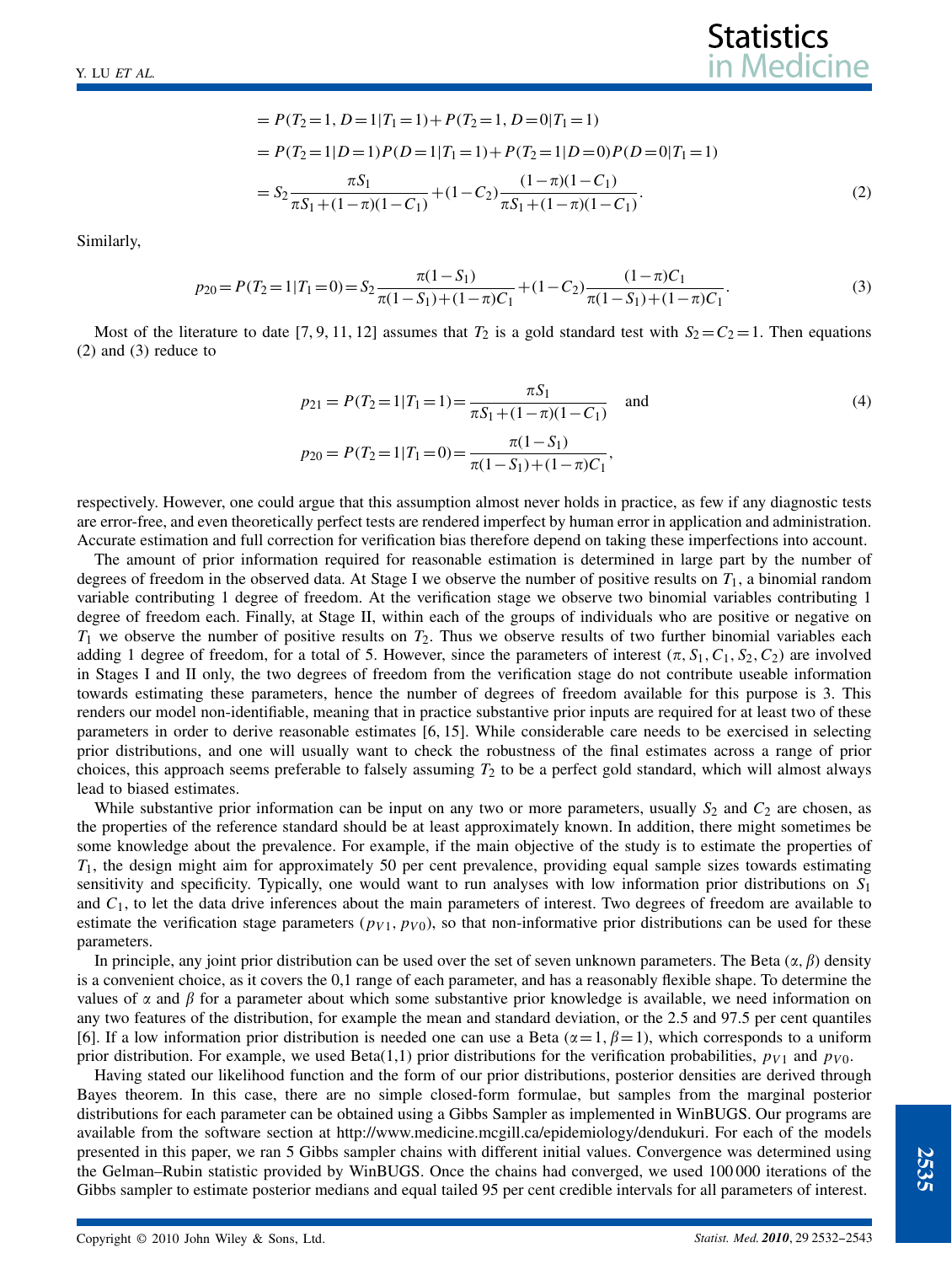$$
= P(T_2 = 1, D = 1 | T_1 = 1) + P(T_2 = 1, D = 0 | T_1 = 1)
$$
  
=  $P(T_2 = 1 | D = 1)P(D = 1 | T_1 = 1) + P(T_2 = 1 | D = 0)P(D = 0 | T_1 = 1)$   
=  $S_2 \frac{\pi S_1}{\pi S_1 + (1 - \pi)(1 - C_1)} + (1 - C_2) \frac{(1 - \pi)(1 - C_1)}{\pi S_1 + (1 - \pi)(1 - C_1)}.$  (2)

Similarly,

$$
p_{20} = P(T_2 = 1 | T_1 = 0) = S_2 \frac{\pi (1 - S_1)}{\pi (1 - S_1) + (1 - \pi) C_1} + (1 - C_2) \frac{(1 - \pi) C_1}{\pi (1 - S_1) + (1 - \pi) C_1}.
$$
\n(3)

Most of the literature to date [7, 9, 11, 12] assumes that  $T_2$  is a gold standard test with  $S_2 = C_2 = 1$ . Then equations (2) and (3) reduce to

$$
p_{21} = P(T_2 = 1 | T_1 = 1) = \frac{\pi S_1}{\pi S_1 + (1 - \pi)(1 - C_1)} \text{ and}
$$
  
\n
$$
p_{20} = P(T_2 = 1 | T_1 = 0) = \frac{\pi (1 - S_1)}{\pi (1 - S_1) + (1 - \pi) C_1},
$$
\n(4)

respectively. However, one could argue that this assumption almost never holds in practice, as few if any diagnostic tests are error-free, and even theoretically perfect tests are rendered imperfect by human error in application and administration. Accurate estimation and full correction for verification bias therefore depend on taking these imperfections into account.

The amount of prior information required for reasonable estimation is determined in large part by the number of degrees of freedom in the observed data. At Stage I we observe the number of positive results on *T*1, a binomial random variable contributing 1 degree of freedom. At the verification stage we observe two binomial variables contributing 1 degree of freedom each. Finally, at Stage II, within each of the groups of individuals who are positive or negative on *T*<sup>1</sup> we observe the number of positive results on *T*2. Thus we observe results of two further binomial variables each adding 1 degree of freedom, for a total of 5. However, since the parameters of interest  $(\pi, S_1, C_1, S_2, C_2)$  are involved in Stages I and II only, the two degrees of freedom from the verification stage do not contribute useable information towards estimating these parameters, hence the number of degrees of freedom available for this purpose is 3. This renders our model non-identifiable, meaning that in practice substantive prior inputs are required for at least two of these parameters in order to derive reasonable estimates [6, 15]. While considerable care needs to be exercised in selecting prior distributions, and one will usually want to check the robustness of the final estimates across a range of prior choices, this approach seems preferable to falsely assuming  $T_2$  to be a perfect gold standard, which will almost always lead to biased estimates.

While substantive prior information can be input on any two or more parameters, usually  $S_2$  and  $C_2$  are chosen, as the properties of the reference standard should be at least approximately known. In addition, there might sometimes be some knowledge about the prevalence. For example, if the main objective of the study is to estimate the properties of *T*1, the design might aim for approximately 50 per cent prevalence, providing equal sample sizes towards estimating sensitivity and specificity. Typically, one would want to run analyses with low information prior distributions on *S*<sup>1</sup> and *C*1, to let the data drive inferences about the main parameters of interest. Two degrees of freedom are available to estimate the verification stage parameters  $(p_{V1}, p_{V0})$ , so that non-informative prior distributions can be used for these parameters.

In principle, any joint prior distribution can be used over the set of seven unknown parameters. The Beta  $(\alpha, \beta)$  density is a convenient choice, as it covers the 0,1 range of each parameter, and has a reasonably flexible shape. To determine the values of  $\alpha$  and  $\beta$  for a parameter about which some substantive prior knowledge is available, we need information on any two features of the distribution, for example the mean and standard deviation, or the 2.5 and 97.5 per cent quantiles [6]. If a low information prior distribution is needed one can use a Beta  $(\alpha = 1, \beta = 1)$ , which corresponds to a uniform prior distribution. For example, we used Beta(1,1) prior distributions for the verification probabilities,  $p_{V1}$  and  $p_{V0}$ .

Having stated our likelihood function and the form of our prior distributions, posterior densities are derived through Bayes theorem. In this case, there are no simple closed-form formulae, but samples from the marginal posterior distributions for each parameter can be obtained using a Gibbs Sampler as implemented in WinBUGS. Our programs are available from the software section at http://www.medicine.mcgill.ca/epidemiology/dendukuri. For each of the models presented in this paper, we ran 5 Gibbs sampler chains with different initial values. Convergence was determined using the Gelman–Rubin statistic provided by WinBUGS. Once the chains had converged, we used 100 000 iterations of the Gibbs sampler to estimate posterior medians and equal tailed 95 per cent credible intervals for all parameters of interest.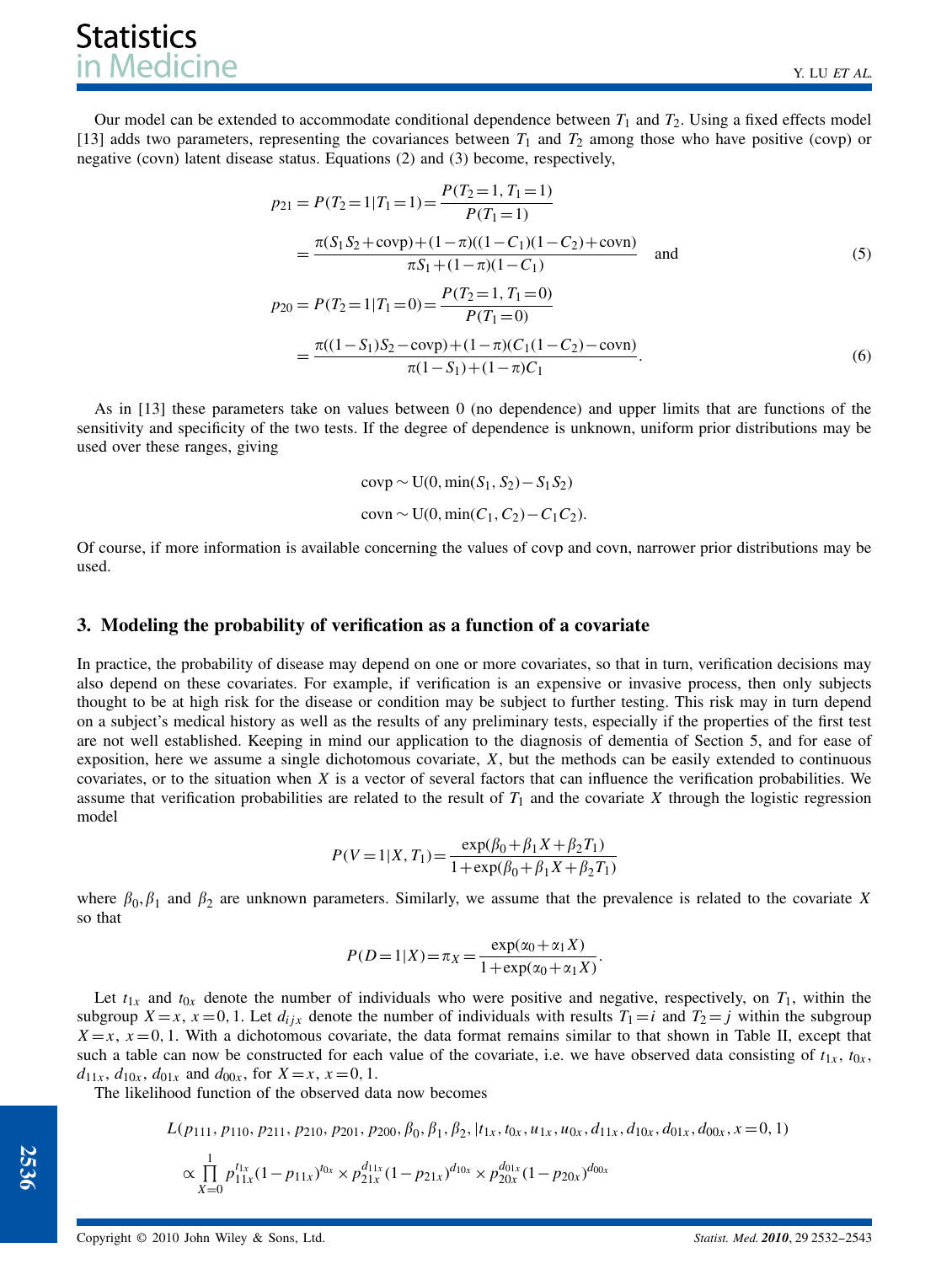$$
p_{21} = P(T_2 = 1 | T_1 = 1) = \frac{P(T_2 = 1, T_1 = 1)}{P(T_1 = 1)}
$$
  
\n
$$
= \frac{\pi(S_1 S_2 + \text{covp}) + (1 - \pi)((1 - C_1)(1 - C_2) + \text{covn})}{\pi S_1 + (1 - \pi)(1 - C_1)} \text{ and }
$$
(5)  
\n
$$
p_{20} = P(T_2 = 1 | T_1 = 0) = \frac{P(T_2 = 1, T_1 = 0)}{P(T_1 = 0)}
$$
  
\n
$$
= \frac{\pi((1 - S_1)S_2 - \text{covp}) + (1 - \pi)(C_1(1 - C_2) - \text{covn})}{\pi(1 - S_1) + (1 - \pi)C_1}.
$$
(6)

As in [13] these parameters take on values between 0 (no dependence) and upper limits that are functions of the sensitivity and specificity of the two tests. If the degree of dependence is unknown, uniform prior distributions may be used over these ranges, giving

$$
covp \sim U(0, \min(S_1, S_2) - S_1 S_2)
$$
  
 
$$
covn \sim U(0, \min(C_1, C_2) - C_1 C_2).
$$

Of course, if more information is available concerning the values of covp and covn, narrower prior distributions may be used.

#### **3. Modeling the probability of verification as a function of a covariate**

In practice, the probability of disease may depend on one or more covariates, so that in turn, verification decisions may also depend on these covariates. For example, if verification is an expensive or invasive process, then only subjects thought to be at high risk for the disease or condition may be subject to further testing. This risk may in turn depend on a subject's medical history as well as the results of any preliminary tests, especially if the properties of the first test are not well established. Keeping in mind our application to the diagnosis of dementia of Section 5, and for ease of exposition, here we assume a single dichotomous covariate, *X*, but the methods can be easily extended to continuous covariates, or to the situation when *X* is a vector of several factors that can influence the verification probabilities. We assume that verification probabilities are related to the result of  $T_1$  and the covariate  $X$  through the logistic regression model

$$
P(V=1|X, T_1) = \frac{\exp(\beta_0 + \beta_1 X + \beta_2 T_1)}{1 + \exp(\beta_0 + \beta_1 X + \beta_2 T_1)}
$$

where  $\beta_0, \beta_1$  and  $\beta_2$  are unknown parameters. Similarly, we assume that the prevalence is related to the covariate X so that

$$
P(D=1|X) = \pi_X = \frac{\exp(\alpha_0 + \alpha_1 X)}{1 + \exp(\alpha_0 + \alpha_1 X)}.
$$

Let  $t_{1x}$  and  $t_{0x}$  denote the number of individuals who were positive and negative, respectively, on  $T_1$ , within the subgroup  $X = x$ ,  $x = 0$ , 1. Let  $d_{ijx}$  denote the number of individuals with results  $T_1 = i$  and  $T_2 = j$  within the subgroup  $X = x$ ,  $x = 0, 1$ . With a dichotomous covariate, the data format remains similar to that shown in Table II, except that such a table can now be constructed for each value of the covariate, i.e. we have observed data consisting of  $t_{1x}$ ,  $t_{0x}$ ,  $d_{11x}$ ,  $d_{10x}$ ,  $d_{01x}$  and  $d_{00x}$ , for  $X = x$ ,  $x = 0, 1$ .

The likelihood function of the observed data now becomes

$$
L(p_{111}, p_{110}, p_{211}, p_{210}, p_{201}, p_{200}, \beta_0, \beta_1, \beta_2, |t_{1x}, t_{0x}, u_{1x}, u_{0x}, d_{11x}, d_{10x}, d_{01x}, d_{00x}, x = 0, 1)
$$
  

$$
\propto \prod_{X=0}^{1} p_{11x}^{t_{1x}} (1 - p_{11x})^{t_{0x}} \times p_{21x}^{d_{11x}} (1 - p_{21x})^{d_{10x}} \times p_{20x}^{d_{01x}} (1 - p_{20x})^{d_{00x}}
$$

**Statistics** 

*ledicine*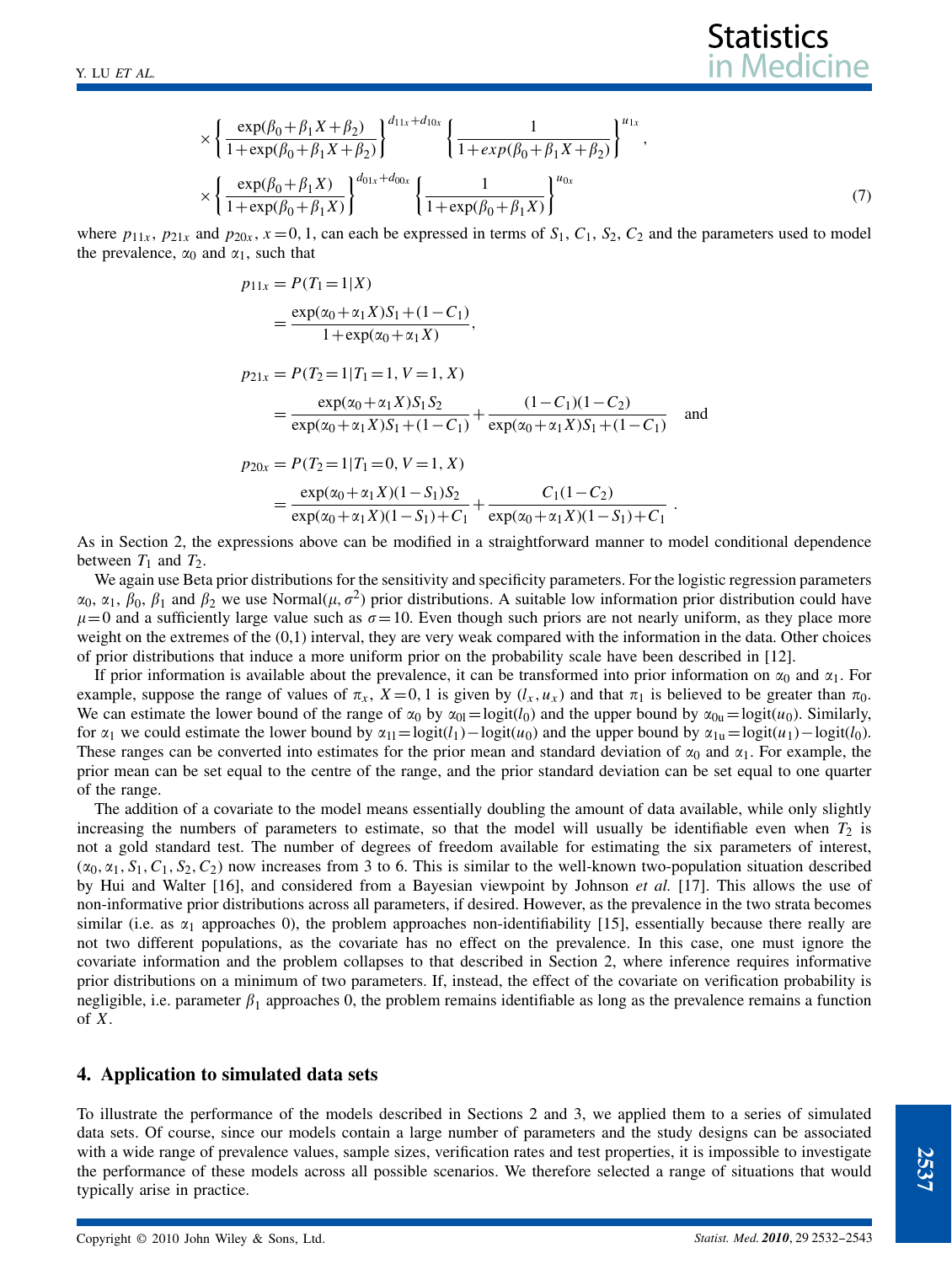$$
\times \left\{ \frac{\exp(\beta_0 + \beta_1 X + \beta_2)}{1 + \exp(\beta_0 + \beta_1 X + \beta_2)} \right\}^{d_{11x} + d_{10x}} \left\{ \frac{1}{1 + \exp(\beta_0 + \beta_1 X + \beta_2)} \right\}^{u_{1x}},
$$
\n
$$
\times \left\{ \frac{\exp(\beta_0 + \beta_1 X)}{1 + \exp(\beta_0 + \beta_1 X)} \right\}^{d_{01x} + d_{00x}} \left\{ \frac{1}{1 + \exp(\beta_0 + \beta_1 X)} \right\}^{u_{0x}} \tag{7}
$$

where  $p_{11x}$ ,  $p_{21x}$  and  $p_{20x}$ ,  $x = 0, 1$ , can each be expressed in terms of  $S_1$ ,  $C_1$ ,  $S_2$ ,  $C_2$  and the parameters used to model the prevalence,  $\alpha_0$  and  $\alpha_1$ , such that

$$
p_{11x} = P(T_1 = 1|X)
$$
  
= 
$$
\frac{\exp(\alpha_0 + \alpha_1 X)S_1 + (1 - C_1)}{1 + \exp(\alpha_0 + \alpha_1 X)},
$$
  

$$
p_{21x} = P(T_2 = 1|T_1 = 1, V = 1, X)
$$
  
= 
$$
\frac{\exp(\alpha_0 + \alpha_1 X)S_1S_2}{\exp(\alpha_0 + \alpha_1 X)S_1 + (1 - C_1)} + \frac{(1 - C_1)(1 - C_2)}{\exp(\alpha_0 + \alpha_1 X)S_1 + (1 - C_1)}
$$
 and  

$$
p_{20x} = P(T_2 = 1|T_1 = 0, V = 1, X)
$$
  
= 
$$
\frac{\exp(\alpha_0 + \alpha_1 X)(1 - S_1)S_2}{\exp(\alpha_0 + \alpha_1 X)(1 - S_1) + C_1} + \frac{C_1(1 - C_2)}{\exp(\alpha_0 + \alpha_1 X)(1 - S_1) + C_1}.
$$

As in Section 2, the expressions above can be modified in a straightforward manner to model conditional dependence between  $T_1$  and  $T_2$ .

We again use Beta prior distributions for the sensitivity and specificity parameters. For the logistic regression parameters  $\alpha_0$ ,  $\alpha_1$ ,  $\beta_0$ ,  $\beta_1$  and  $\beta_2$  we use Normal $(\mu, \sigma^2)$  prior distributions. A suitable low information prior distribution could have  $\mu$ =0 and a sufficiently large value such as  $\sigma$ =10. Even though such priors are not nearly uniform, as they place more weight on the extremes of the  $(0,1)$  interval, they are very weak compared with the information in the data. Other choices of prior distributions that induce a more uniform prior on the probability scale have been described in [12].

If prior information is available about the prevalence, it can be transformed into prior information on  $\alpha_0$  and  $\alpha_1$ . For example, suppose the range of values of  $\pi_x$ ,  $X=0,1$  is given by  $(l_x, u_x)$  and that  $\pi_1$  is believed to be greater than  $\pi_0$ . We can estimate the lower bound of the range of  $\alpha_0$  by  $\alpha_{0l} = \text{logit}(l_0)$  and the upper bound by  $\alpha_{0u} = \text{logit}(u_0)$ . Similarly, for  $\alpha_1$  we could estimate the lower bound by  $\alpha_{11} = \text{logit}(l_1) - \text{logit}(u_0)$  and the upper bound by  $\alpha_{1u} = \text{logit}(u_1) - \text{logit}(l_0)$ . These ranges can be converted into estimates for the prior mean and standard deviation of  $\alpha_0$  and  $\alpha_1$ . For example, the prior mean can be set equal to the centre of the range, and the prior standard deviation can be set equal to one quarter of the range.

The addition of a covariate to the model means essentially doubling the amount of data available, while only slightly increasing the numbers of parameters to estimate, so that the model will usually be identifiable even when  $T_2$  is not a gold standard test. The number of degrees of freedom available for estimating the six parameters of interest,  $(\alpha_0, \alpha_1, S_1, C_1, S_2, C_2)$  now increases from 3 to 6. This is similar to the well-known two-population situation described by Hui and Walter [16], and considered from a Bayesian viewpoint by Johnson *et al.* [17]. This allows the use of non-informative prior distributions across all parameters, if desired. However, as the prevalence in the two strata becomes similar (i.e. as  $\alpha_1$  approaches 0), the problem approaches non-identifiability [15], essentially because there really are not two different populations, as the covariate has no effect on the prevalence. In this case, one must ignore the covariate information and the problem collapses to that described in Section 2, where inference requires informative prior distributions on a minimum of two parameters. If, instead, the effect of the covariate on verification probability is negligible, i.e. parameter  $\beta_1$  approaches 0, the problem remains identifiable as long as the prevalence remains a function of *X*.

#### **4. Application to simulated data sets**

To illustrate the performance of the models described in Sections 2 and 3, we applied them to a series of simulated data sets. Of course, since our models contain a large number of parameters and the study designs can be associated with a wide range of prevalence values, sample sizes, verification rates and test properties, it is impossible to investigate the performance of these models across all possible scenarios. We therefore selected a range of situations that would typically arise in practice.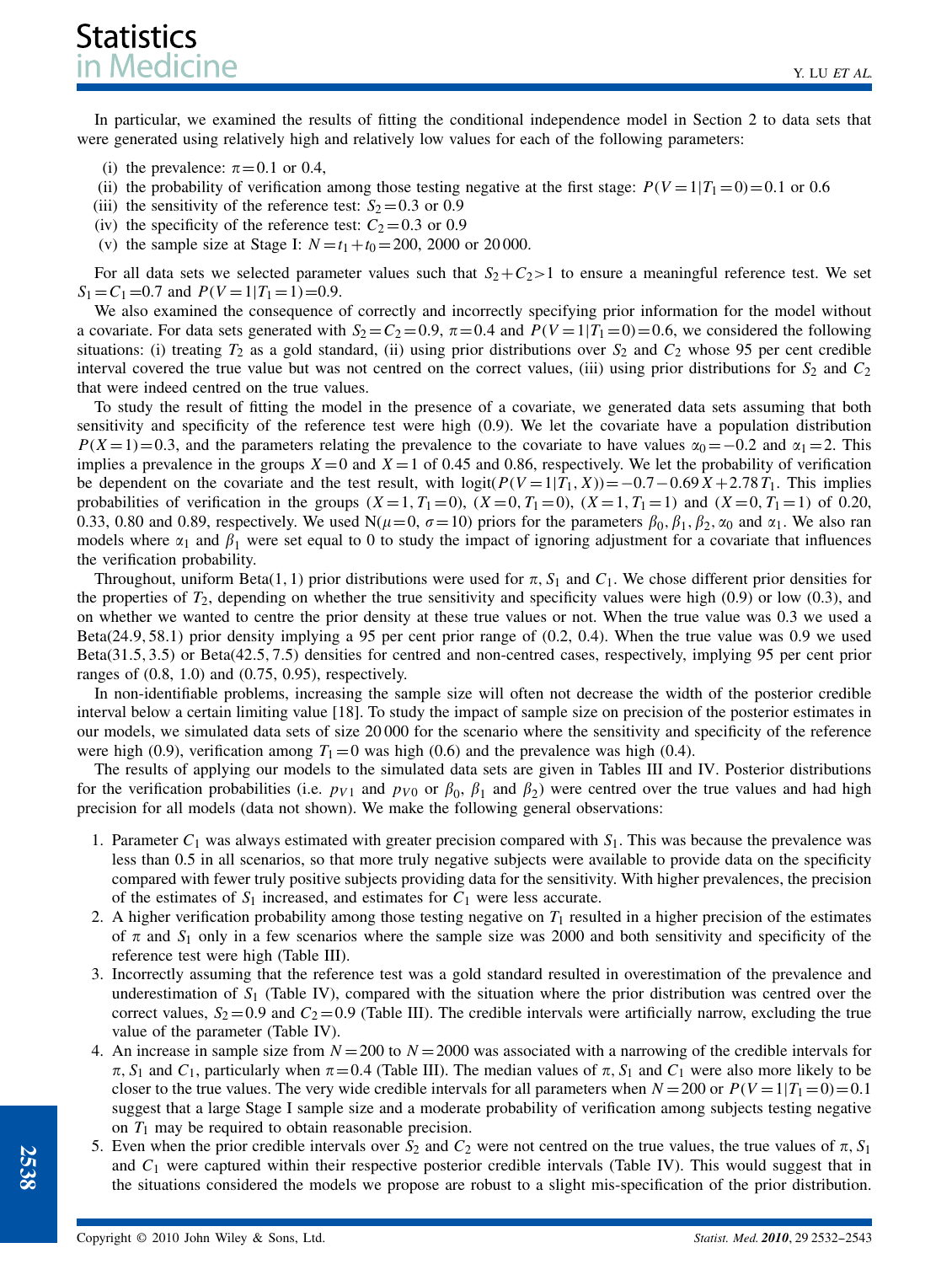In particular, we examined the results of fitting the conditional independence model in Section 2 to data sets that were generated using relatively high and relatively low values for each of the following parameters:

- (i) the prevalence:  $\pi = 0.1$  or 0.4,
- (ii) the probability of verification among those testing negative at the first stage:  $P(V=1|T_1=0)=0.1$  or 0.6
- (iii) the sensitivity of the reference test:  $S_2 = 0.3$  or 0.9
- (iv) the specificity of the reference test:  $C_2 = 0.3$  or 0.9
- (v) the sample size at Stage I:  $N = t_1 + t_0 = 200$ , 2000 or 20 000.

For all data sets we selected parameter values such that  $S_2+C_2>1$  to ensure a meaningful reference test. We set  $S_1 = C_1 = 0.7$  and  $P(V = 1 | T_1 = 1) = 0.9$ .

We also examined the consequence of correctly and incorrectly specifying prior information for the model without a covariate. For data sets generated with  $S_2 = C_2 = 0.9$ ,  $\pi = 0.4$  and  $P(V = 1 | T_1 = 0) = 0.6$ , we considered the following situations: (i) treating  $T_2$  as a gold standard, (ii) using prior distributions over  $S_2$  and  $C_2$  whose 95 per cent credible interval covered the true value but was not centred on the correct values, (iii) using prior distributions for  $S_2$  and  $C_2$ that were indeed centred on the true values.

To study the result of fitting the model in the presence of a covariate, we generated data sets assuming that both sensitivity and specificity of the reference test were high (0.9). We let the covariate have a population distribution  $P(X=1)=0.3$ , and the parameters relating the prevalence to the covariate to have values  $\alpha_0 = -0.2$  and  $\alpha_1 = 2$ . This implies a prevalence in the groups  $X = 0$  and  $X = 1$  of 0.45 and 0.86, respectively. We let the probability of verification be dependent on the covariate and the test result, with  $\text{logit}(P(V=1|T_1, X)) = -0.7 - 0.69 X + 2.78 T_1$ . This implies probabilities of verification in the groups  $(X = 1, T_1 = 0)$ ,  $(X = 0, T_1 = 0)$ ,  $(X = 1, T_1 = 1)$  and  $(X = 0, T_1 = 1)$  of 0.20, 0.33, 0.80 and 0.89, respectively. We used  $N(\mu=0, \sigma=10)$  priors for the parameters  $\beta_0, \beta_1, \beta_2, \alpha_0$  and  $\alpha_1$ . We also ran models where  $\alpha_1$  and  $\beta_1$  were set equal to 0 to study the impact of ignoring adjustment for a covariate that influences the verification probability.

Throughout, uniform Beta $(1, 1)$  prior distributions were used for  $\pi$ ,  $S_1$  and  $C_1$ . We chose different prior densities for the properties of  $T_2$ , depending on whether the true sensitivity and specificity values were high (0.9) or low (0.3), and on whether we wanted to centre the prior density at these true values or not. When the true value was 0.3 we used a Beta(24*.*9*,*58*.*1) prior density implying a 95 per cent prior range of (0.2, 0.4). When the true value was 0.9 we used Beta(31*.*5*,*3*.*5) or Beta(42*.*5*,*7*.*5) densities for centred and non-centred cases, respectively, implying 95 per cent prior ranges of (0.8, 1.0) and (0.75, 0.95), respectively.

In non-identifiable problems, increasing the sample size will often not decrease the width of the posterior credible interval below a certain limiting value [18]. To study the impact of sample size on precision of the posterior estimates in our models, we simulated data sets of size 20 000 for the scenario where the sensitivity and specificity of the reference were high (0.9), verification among  $T_1 = 0$  was high (0.6) and the prevalence was high (0.4).

The results of applying our models to the simulated data sets are given in Tables III and IV. Posterior distributions for the verification probabilities (i.e.  $p_{V1}$  and  $p_{V0}$  or  $\beta_0$ ,  $\beta_1$  and  $\beta_2$ ) were centred over the true values and had high precision for all models (data not shown). We make the following general observations:

- 1. Parameter *C*<sup>1</sup> was always estimated with greater precision compared with *S*1. This was because the prevalence was less than 0.5 in all scenarios, so that more truly negative subjects were available to provide data on the specificity compared with fewer truly positive subjects providing data for the sensitivity. With higher prevalences, the precision of the estimates of  $S_1$  increased, and estimates for  $C_1$  were less accurate.
- 2. A higher verification probability among those testing negative on  $T_1$  resulted in a higher precision of the estimates of  $\pi$  and  $S_1$  only in a few scenarios where the sample size was 2000 and both sensitivity and specificity of the reference test were high (Table III).
- 3. Incorrectly assuming that the reference test was a gold standard resulted in overestimation of the prevalence and underestimation of *S*<sup>1</sup> (Table IV), compared with the situation where the prior distribution was centred over the correct values,  $S_2 = 0.9$  and  $C_2 = 0.9$  (Table III). The credible intervals were artificially narrow, excluding the true value of the parameter (Table IV).
- 4. An increase in sample size from  $N = 200$  to  $N = 2000$  was associated with a narrowing of the credible intervals for  $\pi$ ,  $S_1$  and  $C_1$ , particularly when  $\pi$  = 0.4 (Table III). The median values of  $\pi$ ,  $S_1$  and  $C_1$  were also more likely to be closer to the true values. The very wide credible intervals for all parameters when  $N = 200$  or  $P(V = 1 | T_1 = 0) = 0.1$ suggest that a large Stage I sample size and a moderate probability of verification among subjects testing negative on  $T_1$  may be required to obtain reasonable precision.
- 5. Even when the prior credible intervals over  $S_2$  and  $C_2$  were not centred on the true values, the true values of  $\pi$ ,  $S_1$ and  $C_1$  were captured within their respective posterior credible intervals (Table IV). This would suggest that in the situations considered the models we propose are robust to a slight mis-specification of the prior distribution.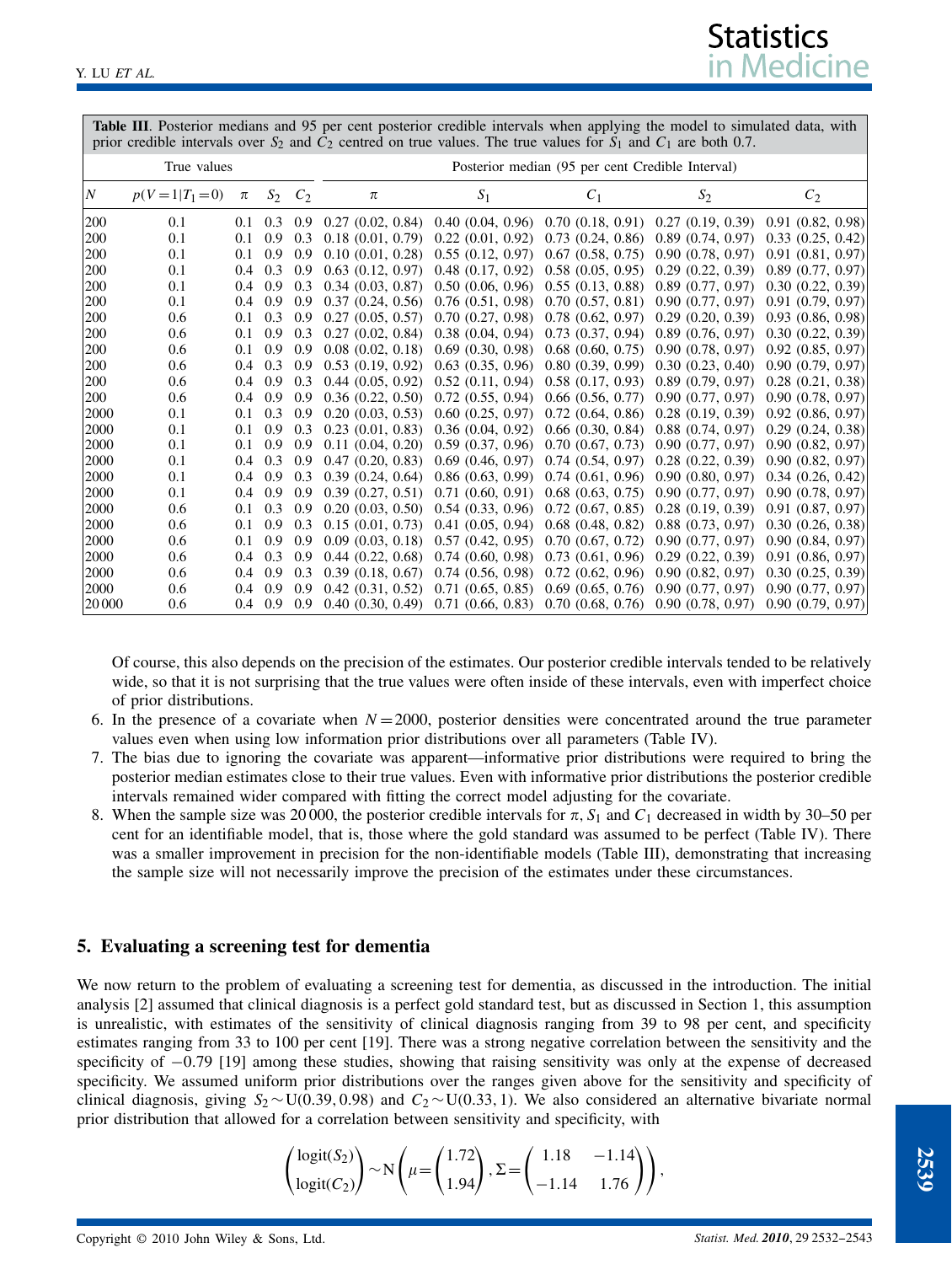| Table III. I Osterior medians and 20 per cent posterior credible microals when apprying the moder to simulated data, whir<br>prior credible intervals over $S_2$ and $C_2$ centred on true values. The true values for $S_1$ and $C_1$ are both 0.7. |                |               |       |       |                                                  |                                                                           |                       |                                                                                             |                       |  |  |
|------------------------------------------------------------------------------------------------------------------------------------------------------------------------------------------------------------------------------------------------------|----------------|---------------|-------|-------|--------------------------------------------------|---------------------------------------------------------------------------|-----------------------|---------------------------------------------------------------------------------------------|-----------------------|--|--|
|                                                                                                                                                                                                                                                      | True values    |               |       |       | Posterior median (95 per cent Credible Interval) |                                                                           |                       |                                                                                             |                       |  |  |
| N                                                                                                                                                                                                                                                    | $p(V=1 T_1=0)$ | $\pi$         | $S_2$ | $C_2$ | $\pi$                                            | $S_1$                                                                     | C <sub>1</sub>        | $S_2$                                                                                       | $C_2$                 |  |  |
| 200                                                                                                                                                                                                                                                  | 0.1            | 0.1           | 0.3   | 0.9   |                                                  |                                                                           |                       | $0.27$ (0.02, 0.84) 0.40 (0.04, 0.96) 0.70 (0.18, 0.91) 0.27 (0.19, 0.39) 0.91 (0.82, 0.98) |                       |  |  |
| 200                                                                                                                                                                                                                                                  | 0.1            | 0.1           | 0.9   | 0.3   |                                                  | $0.18(0.01, 0.79)$ $0.22(0.01, 0.92)$ $0.73(0.24, 0.86)$                  |                       | 0.89(0.74, 0.97)                                                                            | 0.33(0.25, 0.42)      |  |  |
| 200                                                                                                                                                                                                                                                  | 0.1            | 0.1           | 0.9   | 0.9   |                                                  | $0.10(0.01, 0.28)$ $0.55(0.12, 0.97)$                                     | 0.67(0.58, 0.75)      | 0.90(0.78, 0.97)                                                                            | 0.91(0.81, 0.97)      |  |  |
| 200                                                                                                                                                                                                                                                  | 0.1            | 0.4           | 0.3   | 0.9   | 0.63(0.12, 0.97)                                 | $0.48$ $(0.17, 0.92)$                                                     | 0.58(0.05, 0.95)      | 0.29(0.22, 0.39)                                                                            | 0.89(0.77, 0.97)      |  |  |
| 200                                                                                                                                                                                                                                                  | 0.1            | 0.4           | 0.9   | 0.3   |                                                  | $0.34$ (0.03, 0.87) 0.50 (0.06, 0.96) 0.55 (0.13, 0.88)                   |                       | 0.89(0.77, 0.97)                                                                            | 0.30(0.22, 0.39)      |  |  |
| 200                                                                                                                                                                                                                                                  | 0.1            | 0.4           | 0.9   | 0.9   |                                                  | $0.37(0.24, 0.56)$ $0.76(0.51, 0.98)$                                     | 0.70(0.57, 0.81)      | 0.90(0.77, 0.97)                                                                            | 0.91(0.79, 0.97)      |  |  |
| 200                                                                                                                                                                                                                                                  | 0.6            | 0.1           | 0.3   | 0.9   |                                                  | $0.27(0.05, 0.57)$ 0.70 $(0.27, 0.98)$                                    | 0.78(0.62, 0.97)      | 0.29(0.20, 0.39)                                                                            | 0.93(0.86, 0.98)      |  |  |
| 200                                                                                                                                                                                                                                                  | 0.6            | 0.1           | 0.9   | 0.3   | $0.27(0.02, 0.84)$ 0.38 $(0.04, 0.94)$           |                                                                           | 0.73(0.37, 0.94)      | 0.89(0.76, 0.97)                                                                            | 0.30(0.22, 0.39)      |  |  |
| 200                                                                                                                                                                                                                                                  | 0.6            | 0.1           | 0.9   | 0.9   |                                                  | $0.08$ $(0.02, 0.18)$ $0.69$ $(0.30, 0.98)$                               | $0.68$ $(0.60, 0.75)$ | 0.90(0.78, 0.97)                                                                            | 0.92(0.85, 0.97)      |  |  |
| 200                                                                                                                                                                                                                                                  | 0.6            | 0.4           | 0.3   | 0.9   |                                                  | $0.53(0.19, 0.92)$ $0.63(0.35, 0.96)$ $0.80(0.39, 0.99)$                  |                       | 0.30(0.23, 0.40)                                                                            | 0.90(0.79, 0.97)      |  |  |
| 200                                                                                                                                                                                                                                                  | 0.6            | 0.4           | 0.9   | 0.3   |                                                  | $0.44(0.05, 0.92)$ $0.52(0.11, 0.94)$ $0.58(0.17, 0.93)$                  |                       | 0.89(0.79, 0.97)                                                                            | $0.28$ $(0.21, 0.38)$ |  |  |
| 200                                                                                                                                                                                                                                                  | 0.6            | 0.4           | 0.9   | 0.9   |                                                  | $0.36(0.22, 0.50)$ $0.72(0.55, 0.94)$                                     | 0.66(0.56, 0.77)      | 0.90(0.77, 0.97)                                                                            | 0.90(0.78, 0.97)      |  |  |
| 2000                                                                                                                                                                                                                                                 | 0.1            | 0.1           | 0.3   | 0.9   |                                                  | $0.20(0.03, 0.53)$ $0.60(0.25, 0.97)$                                     | 0.72(0.64, 0.86)      | 0.28(0.19, 0.39)                                                                            | 0.92(0.86, 0.97)      |  |  |
| 2000                                                                                                                                                                                                                                                 | 0.1            | 0.1           | 0.9   | 0.3   |                                                  | $0.23$ (0.01, 0.83) 0.36 (0.04, 0.92) 0.66 (0.30, 0.84)                   |                       | 0.88(0.74, 0.97)                                                                            | 0.29(0.24, 0.38)      |  |  |
| 2000                                                                                                                                                                                                                                                 | 0.1            | 0.1           | 0.9   | 0.9   |                                                  | $0.11(0.04, 0.20)$ $0.59(0.37, 0.96)$ $0.70(0.67, 0.73)$                  |                       | 0.90(0.77, 0.97)                                                                            | 0.90(0.82, 0.97)      |  |  |
| 2000                                                                                                                                                                                                                                                 | 0.1            | 0.4           | 0.3   | 0.9   |                                                  | $0.47$ $(0.20, 0.83)$ $0.69$ $(0.46, 0.97)$                               | 0.74(0.54, 0.97)      | 0.28(0.22, 0.39)                                                                            | 0.90(0.82, 0.97)      |  |  |
| 2000                                                                                                                                                                                                                                                 | 0.1            | 0.4           | 0.9   | 0.3   | 0.39(0.24, 0.64)                                 | 0.86(0.63, 0.99)                                                          | 0.74(0.61, 0.96)      | 0.90(0.80, 0.97)                                                                            | 0.34(0.26, 0.42)      |  |  |
| 2000                                                                                                                                                                                                                                                 | 0.1            | 0.4           | 0.9   | 0.9   |                                                  | $0.39(0.27, 0.51)$ $0.71(0.60, 0.91)$ $0.68(0.63, 0.75)$                  |                       | 0.90(0.77, 0.97)                                                                            | 0.90(0.78, 0.97)      |  |  |
| 2000                                                                                                                                                                                                                                                 | 0.6            | 0.1           | 0.3   | 0.9   |                                                  | $0.20(0.03, 0.50)$ $0.54(0.33, 0.96)$ $0.72(0.67, 0.85)$                  |                       | 0.28(0.19, 0.39)                                                                            | 0.91(0.87, 0.97)      |  |  |
| 2000                                                                                                                                                                                                                                                 | 0.6            | 0.1           | 0.9   | 0.3   | 0.15(0.01, 0.73)                                 | 0.41(0.05, 0.94)                                                          | 0.68(0.48, 0.82)      | 0.88(0.73, 0.97)                                                                            | 0.30(0.26, 0.38)      |  |  |
| 2000                                                                                                                                                                                                                                                 | 0.6            | 0.1           | 0.9   | 0.9   | 0.09(0.03, 0.18)                                 | 0.57(0.42, 0.95)                                                          | 0.70(0.67, 0.72)      | 0.90(0.77, 0.97)                                                                            | 0.90(0.84, 0.97)      |  |  |
| 2000                                                                                                                                                                                                                                                 | 0.6            | 0.4           | 0.3   | 0.9   |                                                  | $0.44$ (0.22, 0.68) 0.74 (0.60, 0.98) 0.73 (0.61, 0.96)                   |                       | 0.29(0.22, 0.39)                                                                            | 0.91(0.86, 0.97)      |  |  |
| 2000                                                                                                                                                                                                                                                 | 0.6            | $0.4^{\circ}$ | 0.9   | 0.3   |                                                  | $0.39(0.18, 0.67)$ $0.74(0.56, 0.98)$                                     | 0.72(0.62, 0.96)      | 0.90(0.82, 0.97)                                                                            | 0.30(0.25, 0.39)      |  |  |
| 2000                                                                                                                                                                                                                                                 | 0.6            | $0.4^{\circ}$ | 0.9   | 0.9   |                                                  | $0.42$ (0.31, 0.52) 0.71 (0.65, 0.85) 0.69 (0.65, 0.76) 0.90 (0.77, 0.97) |                       |                                                                                             | 0.90(0.77, 0.97)      |  |  |
| 20 000                                                                                                                                                                                                                                               | $0.6^{\circ}$  | $0.4^{\circ}$ | 0.9   | 0.9   |                                                  | $0.40$ $(0.30, 0.49)$ $0.71$ $(0.66, 0.83)$ $0.70$ $(0.68, 0.76)$         |                       | 0.90(0.78, 0.97)                                                                            | 0.90(0.79, 0.97)      |  |  |

**Table III**. Posterior medians and 95 per cent posterior credible intervals when applying the model to simulated data, with

Of course, this also depends on the precision of the estimates. Our posterior credible intervals tended to be relatively wide, so that it is not surprising that the true values were often inside of these intervals, even with imperfect choice of prior distributions.

- 6. In the presence of a covariate when  $N = 2000$ , posterior densities were concentrated around the true parameter values even when using low information prior distributions over all parameters (Table IV).
- 7. The bias due to ignoring the covariate was apparent—informative prior distributions were required to bring the posterior median estimates close to their true values. Even with informative prior distributions the posterior credible intervals remained wider compared with fitting the correct model adjusting for the covariate.
- 8. When the sample size was 20000, the posterior credible intervals for  $\pi$ ,  $S_1$  and  $C_1$  decreased in width by 30–50 per cent for an identifiable model, that is, those where the gold standard was assumed to be perfect (Table IV). There was a smaller improvement in precision for the non-identifiable models (Table III), demonstrating that increasing the sample size will not necessarily improve the precision of the estimates under these circumstances.

### **5. Evaluating a screening test for dementia**

We now return to the problem of evaluating a screening test for dementia, as discussed in the introduction. The initial analysis [2] assumed that clinical diagnosis is a perfect gold standard test, but as discussed in Section 1, this assumption is unrealistic, with estimates of the sensitivity of clinical diagnosis ranging from 39 to 98 per cent, and specificity estimates ranging from 33 to 100 per cent [19]. There was a strong negative correlation between the sensitivity and the specificity of −0.79 [19] among these studies, showing that raising sensitivity was only at the expense of decreased specificity. We assumed uniform prior distributions over the ranges given above for the sensitivity and specificity of clinical diagnosis, giving *S*<sup>2</sup> ∼U(0*.*39*,*0*.*98) and *C*<sup>2</sup> ∼U(0*.*33*,*1). We also considered an alternative bivariate normal prior distribution that allowed for a correlation between sensitivity and specificity, with

$$
\begin{pmatrix} \text{logit}(S_2) \\ \text{logit}(C_2) \end{pmatrix} \sim N \left( \mu = \begin{pmatrix} 1.72 \\ 1.94 \end{pmatrix}, \Sigma = \begin{pmatrix} 1.18 & -1.14 \\ -1.14 & 1.76 \end{pmatrix} \right),
$$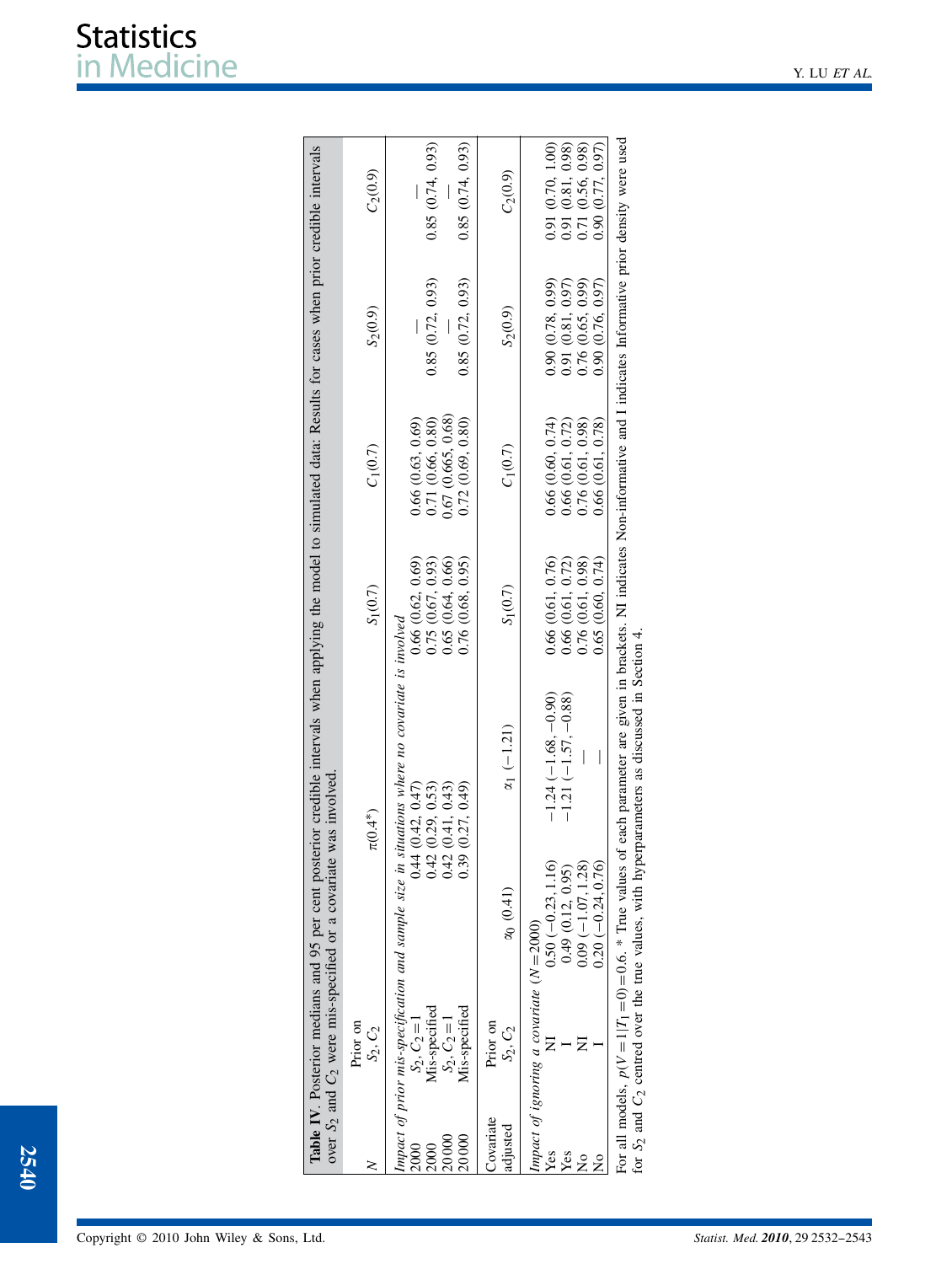|                       |                                             | over $S_2$ and $C_2$ were mis-specified or a covariate | Table IV. Posterior medians and 95 per cent posterior credible intervals when applying the model to simulated data: Results for cases when prior credible intervals<br>was involved                                                                                                                |                  |                    |                  |                   |
|-----------------------|---------------------------------------------|--------------------------------------------------------|----------------------------------------------------------------------------------------------------------------------------------------------------------------------------------------------------------------------------------------------------------------------------------------------------|------------------|--------------------|------------------|-------------------|
|                       | Prior on<br>$S_2, C_2$                      |                                                        | $\pi(0.4^*)$                                                                                                                                                                                                                                                                                       | $S_1(0.7)$       | $C_1(0.7)$         | $S_2(0.9)$       | $C_2(0.9)$        |
|                       | $S_2, C_2 = 1$                              |                                                        | Impact of prior mis-specification and sample size in situations where no covariate is involved<br>0.44(0.42, 0.47)                                                                                                                                                                                 | 0.66(0.62, 0.69) | 0.66(0.63, 0.69)   |                  |                   |
| 2000                  | Mis-specified                               | 0.42                                                   | (0.29, 0.53)                                                                                                                                                                                                                                                                                       | 0.75(0.67, 0.93) | 0.71(0.66, 0.80)   | 0.85(0.72, 0.93) | 0.85(0.74, 0.93)  |
| 20 000                | $S_2, C_2 = 1$                              | 0.42                                                   | (0.41, 0.43)                                                                                                                                                                                                                                                                                       | 0.65(0.64, 0.66) | 0.67 (0.665, 0.68) |                  |                   |
| 20000                 | Mis-specified                               | 0.39                                                   | (0.27, 0.49)                                                                                                                                                                                                                                                                                       | 0.76(0.68, 0.95) | 0.72(0.69, 0.80)   | 0.85(0.72, 0.93) | 0.85(0.74, 0.93)  |
| Covariate<br>adjusted | Prior on<br>$S_2, C_2$                      | $\alpha_0$ (0.41)                                      | $\alpha_1$ (-1.21)                                                                                                                                                                                                                                                                                 | $S_1(0.7)$       | $C_1(0.7)$         | $S_2(0.9)$       | $C_2(0.9)$        |
|                       | Impact of ignoring a covariate $(N = 2000)$ |                                                        |                                                                                                                                                                                                                                                                                                    |                  |                    |                  |                   |
| Yes                   |                                             | $0.50(-0.23, 1.16)$                                    | $-1.24$ (-1.85 $-1.06$ )                                                                                                                                                                                                                                                                           | 0.66(0.61, 0.76) | 0.66(0.60, 0.74)   | 0.90(0.78, 0.99) | 0.91(0.70, 1.00)  |
| Yes                   |                                             | 0.49(0.12, 0.95)                                       | $-1.21(-1.57, -0.88)$                                                                                                                                                                                                                                                                              | 0.66(0.61, 0.72) | 0.66(0.61, 0.72)   | 0.91(0.81, 0.97) | 0.91(0.81, 0.98)  |
| $\tilde{z}$           |                                             | $0.09 (-1.07, 1.28)$                                   |                                                                                                                                                                                                                                                                                                    | 0.76(0.61, 0.98) | 0.76(0.61, 0.98)   | 0.76(0.65, 0.99) | 0.71 (0.56, 0.98) |
|                       |                                             | $0.20(-0.24, 0.76)$                                    |                                                                                                                                                                                                                                                                                                    | 0.65(0.60, 0.74) | 0.66 (0.61, 0.78)  | 0.90(0.76, 0.97) | 0.90 (0.77, 0.97) |
|                       |                                             |                                                        | For all models, $p(V=1 T_1=0)=0.6$ . * True values of each parameter are given in brackets. NI indicates Non-informative and I indicates Informative prior density were used<br>for S <sub>2</sub> and C <sub>2</sub> centred over the true values, with hyperparameters as discussed in Section 4 |                  |                    |                  |                   |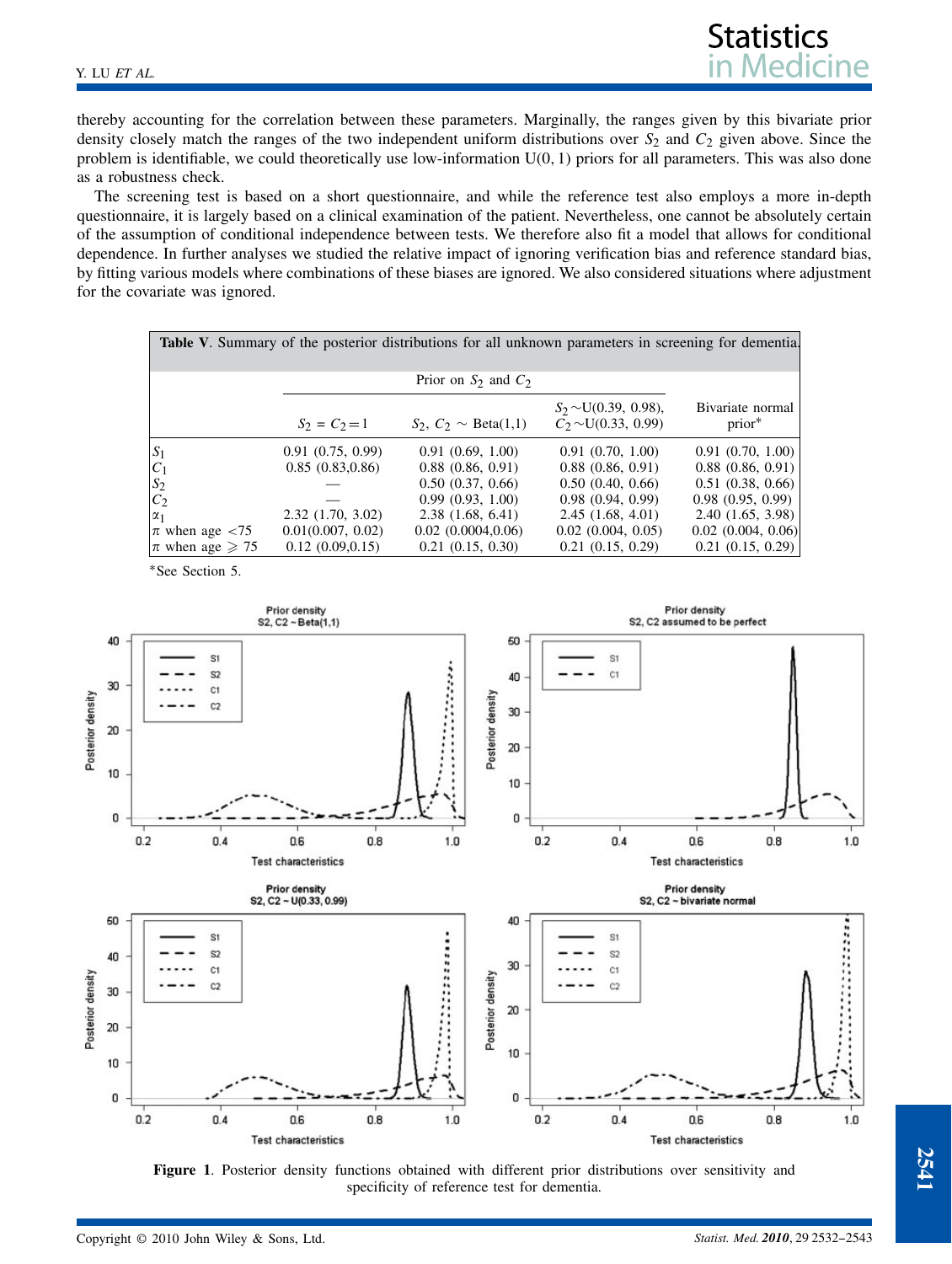thereby accounting for the correlation between these parameters. Marginally, the ranges given by this bivariate prior density closely match the ranges of the two independent uniform distributions over  $S_2$  and  $C_2$  given above. Since the problem is identifiable, we could theoretically use low-information  $U(0, 1)$  priors for all parameters. This was also done as a robustness check.

The screening test is based on a short questionnaire, and while the reference test also employs a more in-depth questionnaire, it is largely based on a clinical examination of the patient. Nevertheless, one cannot be absolutely certain of the assumption of conditional independence between tests. We therefore also fit a model that allows for conditional dependence. In further analyses we studied the relative impact of ignoring verification bias and reference standard bias, by fitting various models where combinations of these biases are ignored. We also considered situations where adjustment for the covariate was ignored.

|                                           |                   | <b>Table V.</b> Summary of the posterior distributions for all unknown parameters in screening for dementia. |                                                        |                                        |
|-------------------------------------------|-------------------|--------------------------------------------------------------------------------------------------------------|--------------------------------------------------------|----------------------------------------|
|                                           |                   | Prior on $S_2$ and $C_2$                                                                                     |                                                        |                                        |
|                                           | $S_2 = C_2 = 1$   | $S_2$ , $C_2 \sim$ Beta(1,1)                                                                                 | $S_2 \sim U(0.39, 0.98)$ ,<br>$C_2 \sim U(0.33, 0.99)$ | Bivariate normal<br>prior <sup>*</sup> |
| $S_1$                                     | 0.91(0.75, 0.99)  | 0.91(0.69, 1.00)                                                                                             | 0.91(0.70, 1.00)                                       | 0.91(0.70, 1.00)                       |
| $\begin{array}{c} C_1 \\ S_2 \end{array}$ | 0.85(0.83, 0.86)  | 0.88(0.86, 0.91)                                                                                             | 0.88(0.86, 0.91)                                       | 0.88(0.86, 0.91)                       |
|                                           |                   | 0.50(0.37, 0.66)                                                                                             | 0.50(0.40, 0.66)                                       | 0.51(0.38, 0.66)                       |
| $C_2$                                     |                   | 0.99(0.93, 1.00)                                                                                             | 0.98(0.94, 0.99)                                       | 0.98(0.95, 0.99)                       |
| $\alpha_1$                                | 2.32(1.70, 3.02)  | 2.38(1.68, 6.41)                                                                                             | 2.45(1.68, 4.01)                                       | 2.40(1.65, 3.98)                       |
| $\pi$ when age <75                        | 0.01(0.007, 0.02) | $0.02$ $(0.0004, 0.06)$                                                                                      | $0.02$ $(0.004, 0.05)$                                 | $0.02$ $(0.004, 0.06)$                 |
| $\pi$ when age $\geq 75$                  | 0.12(0.09, 0.15)  | $0.21$ $(0.15, 0.30)$                                                                                        | $0.21$ $(0.15, 0.29)$                                  | 0.21(0.15, 0.29)                       |

<sup>∗</sup>See Section 5.



**Figure 1**. Posterior density functions obtained with different prior distributions over sensitivity and specificity of reference test for dementia.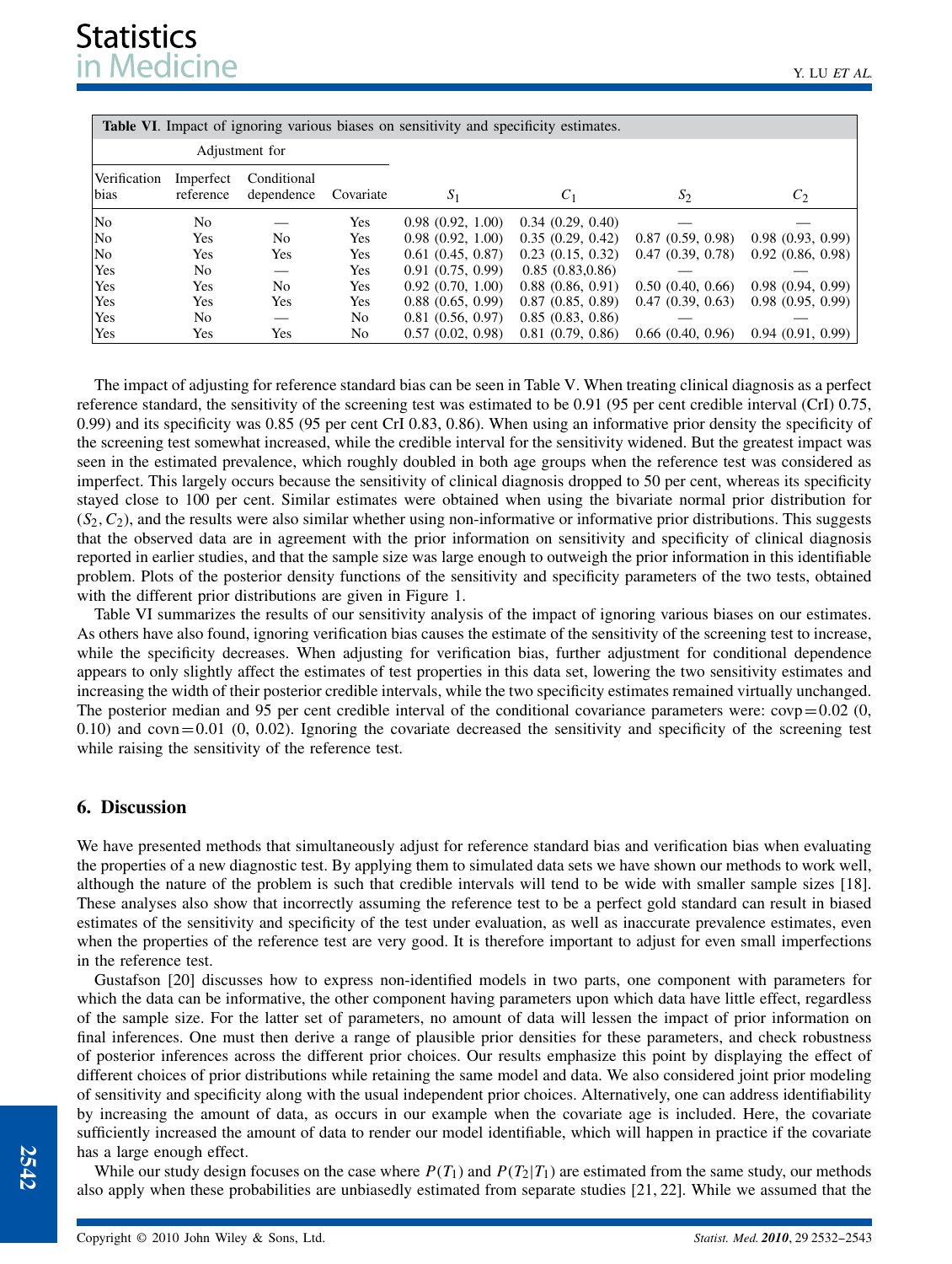|                      | <b>Table VI.</b> Impact of ignoring various biases on sensitivity and specificity estimates. |                           |           |                       |                       |                  |                  |  |  |  |  |
|----------------------|----------------------------------------------------------------------------------------------|---------------------------|-----------|-----------------------|-----------------------|------------------|------------------|--|--|--|--|
|                      |                                                                                              | Adjustment for            |           |                       |                       |                  |                  |  |  |  |  |
| Verification<br>bias | Imperfect<br>reference                                                                       | Conditional<br>dependence | Covariate | S <sub>1</sub>        | C <sub>1</sub>        | $S_2$            | $C_2$            |  |  |  |  |
| N <sub>o</sub>       | N <sub>0</sub>                                                                               |                           | Yes       | 0.98(0.92, 1.00)      | 0.34(0.29, 0.40)      |                  |                  |  |  |  |  |
| No                   | Yes                                                                                          | N <sub>0</sub>            | Yes       | 0.98(0.92, 1.00)      | 0.35(0.29, 0.42)      | 0.87(0.59, 0.98) | 0.98(0.93, 0.99) |  |  |  |  |
| No                   | Yes                                                                                          | Yes                       | Yes       | 0.61(0.45, 0.87)      | $0.23$ $(0.15, 0.32)$ | 0.47(0.39, 0.78) | 0.92(0.86, 0.98) |  |  |  |  |
| Yes                  | N <sub>0</sub>                                                                               |                           | Yes       | 0.91(0.75, 0.99)      | 0.85(0.83, 0.86)      |                  |                  |  |  |  |  |
| Yes                  | Yes                                                                                          | N <sub>0</sub>            | Yes       | 0.92(0.70, 1.00)      | 0.88(0.86, 0.91)      | 0.50(0.40, 0.66) | 0.98(0.94, 0.99) |  |  |  |  |
| <b>Yes</b>           | Yes                                                                                          | Yes                       | Yes       | 0.88(0.65, 0.99)      | 0.87(0.85, 0.89)      | 0.47(0.39, 0.63) | 0.98(0.95, 0.99) |  |  |  |  |
| <b>Yes</b>           | N <sub>0</sub>                                                                               |                           | No.       | $0.81$ $(0.56, 0.97)$ | 0.85(0.83, 0.86)      |                  |                  |  |  |  |  |
| Yes                  | Yes                                                                                          | Yes                       | No        | 0.57(0.02, 0.98)      | 0.81(0.79, 0.86)      | 0.66(0.40, 0.96) | 0.94(0.91, 0.99) |  |  |  |  |

The impact of adjusting for reference standard bias can be seen in Table V. When treating clinical diagnosis as a perfect reference standard, the sensitivity of the screening test was estimated to be 0.91 (95 per cent credible interval (CrI) 0.75, 0.99) and its specificity was 0.85 (95 per cent CrI 0.83, 0.86). When using an informative prior density the specificity of the screening test somewhat increased, while the credible interval for the sensitivity widened. But the greatest impact was seen in the estimated prevalence, which roughly doubled in both age groups when the reference test was considered as imperfect. This largely occurs because the sensitivity of clinical diagnosis dropped to 50 per cent, whereas its specificity stayed close to 100 per cent. Similar estimates were obtained when using the bivariate normal prior distribution for  $(S_2, C_2)$ , and the results were also similar whether using non-informative or informative prior distributions. This suggests that the observed data are in agreement with the prior information on sensitivity and specificity of clinical diagnosis reported in earlier studies, and that the sample size was large enough to outweigh the prior information in this identifiable problem. Plots of the posterior density functions of the sensitivity and specificity parameters of the two tests, obtained with the different prior distributions are given in Figure 1.

Table VI summarizes the results of our sensitivity analysis of the impact of ignoring various biases on our estimates. As others have also found, ignoring verification bias causes the estimate of the sensitivity of the screening test to increase, while the specificity decreases. When adjusting for verification bias, further adjustment for conditional dependence appears to only slightly affect the estimates of test properties in this data set, lowering the two sensitivity estimates and increasing the width of their posterior credible intervals, while the two specificity estimates remained virtually unchanged. The posterior median and 95 per cent credible interval of the conditional covariance parameters were:  $\text{covp}=0.02$  (0, 0.10) and covn=0.01 (0, 0.02). Ignoring the covariate decreased the sensitivity and specificity of the screening test while raising the sensitivity of the reference test.

#### **6. Discussion**

We have presented methods that simultaneously adjust for reference standard bias and verification bias when evaluating the properties of a new diagnostic test. By applying them to simulated data sets we have shown our methods to work well, although the nature of the problem is such that credible intervals will tend to be wide with smaller sample sizes [18]. These analyses also show that incorrectly assuming the reference test to be a perfect gold standard can result in biased estimates of the sensitivity and specificity of the test under evaluation, as well as inaccurate prevalence estimates, even when the properties of the reference test are very good. It is therefore important to adjust for even small imperfections in the reference test.

Gustafson [20] discusses how to express non-identified models in two parts, one component with parameters for which the data can be informative, the other component having parameters upon which data have little effect, regardless of the sample size. For the latter set of parameters, no amount of data will lessen the impact of prior information on final inferences. One must then derive a range of plausible prior densities for these parameters, and check robustness of posterior inferences across the different prior choices. Our results emphasize this point by displaying the effect of different choices of prior distributions while retaining the same model and data. We also considered joint prior modeling of sensitivity and specificity along with the usual independent prior choices. Alternatively, one can address identifiability by increasing the amount of data, as occurs in our example when the covariate age is included. Here, the covariate sufficiently increased the amount of data to render our model identifiable, which will happen in practice if the covariate has a large enough effect.

While our study design focuses on the case where  $P(T_1)$  and  $P(T_2|T_1)$  are estimated from the same study, our methods also apply when these probabilities are unbiasedly estimated from separate studies [21, 22]. While we assumed that the